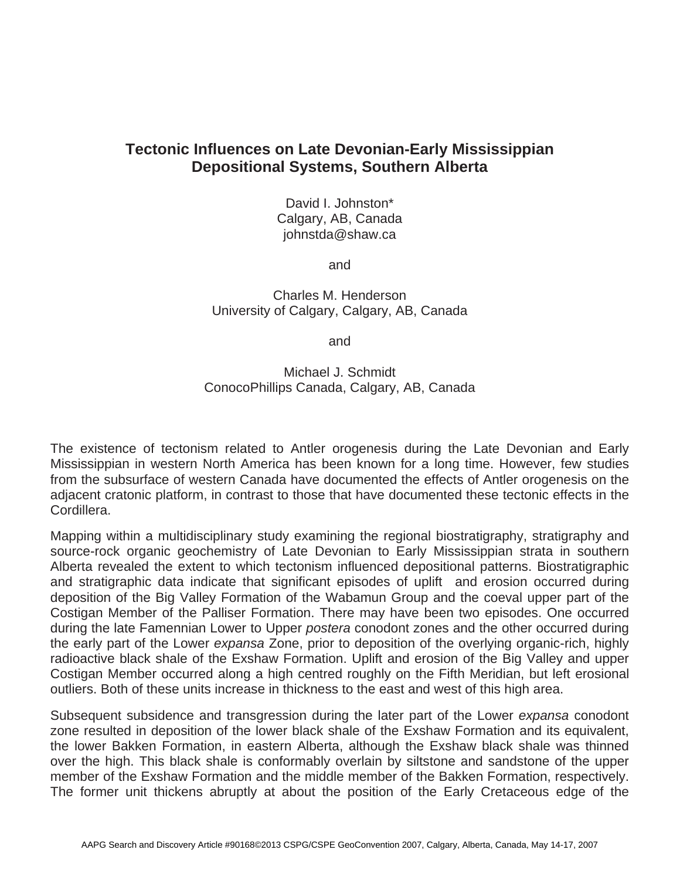## **Tectonic Influences on Late Devonian-Early Mississippian Depositional Systems, Southern Alberta**

David I. Johnston\* Calgary, AB, Canada johnstda@shaw.ca

and

Charles M. Henderson University of Calgary, Calgary, AB, Canada

and

Michael J. Schmidt ConocoPhillips Canada, Calgary, AB, Canada

The existence of tectonism related to Antler orogenesis during the Late Devonian and Early Mississippian in western North America has been known for a long time. However, few studies from the subsurface of western Canada have documented the effects of Antler orogenesis on the adjacent cratonic platform, in contrast to those that have documented these tectonic effects in the Cordillera.

Mapping within a multidisciplinary study examining the regional biostratigraphy, stratigraphy and source-rock organic geochemistry of Late Devonian to Early Mississippian strata in southern Alberta revealed the extent to which tectonism influenced depositional patterns. Biostratigraphic and stratigraphic data indicate that significant episodes of uplift and erosion occurred during deposition of the Big Valley Formation of the Wabamun Group and the coeval upper part of the Costigan Member of the Palliser Formation. There may have been two episodes. One occurred during the late Famennian Lower to Upper *postera* conodont zones and the other occurred during the early part of the Lower *expansa* Zone, prior to deposition of the overlying organic-rich, highly radioactive black shale of the Exshaw Formation. Uplift and erosion of the Big Valley and upper Costigan Member occurred along a high centred roughly on the Fifth Meridian, but left erosional outliers. Both of these units increase in thickness to the east and west of this high area.

Subsequent subsidence and transgression during the later part of the Lower *expansa* conodont zone resulted in deposition of the lower black shale of the Exshaw Formation and its equivalent, the lower Bakken Formation, in eastern Alberta, although the Exshaw black shale was thinned over the high. This black shale is conformably overlain by siltstone and sandstone of the upper member of the Exshaw Formation and the middle member of the Bakken Formation, respectively. The former unit thickens abruptly at about the position of the Early Cretaceous edge of the